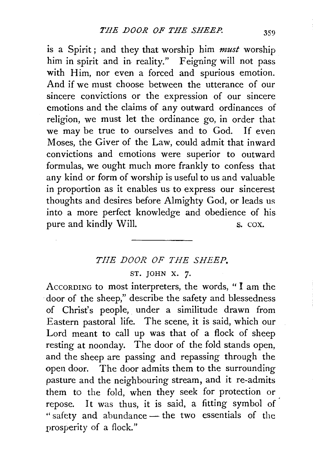is a Spirit ; and they that worship him *must* worship him in spirit and in reality." Feigning will not pass with Him, nor even a forced and spurious emotion. And if we must choose between the utterance of our sincere convictions or the expression of our sincere emotions and the claims of any outward ordinances of religion, we must let the ordinance go, in order that we may be true to ourselves and to God. If even Moses, the Giver of the Law, could admit that inward convictions and emotions were superior to outward formulas, we ought much more frankly to confess that any kind or form of worship is useful to us and valuable in proportion as it enables us to express our sincerest thoughts and desires before Almighty God, or leads us into a more perfect knowledge and obedience of his pure and kindly Will. S. COX.

## *THE DOOR OF THE SHEEP.*

ST. JOHN X. 7.

AccoRDING to most interpreters, the words, " I am the door of the sheep," describe the safety and blessedness of Christ's people, under a similitude drawn from Eastern pastoral life. The scene, it is said, which our Lord meant to call up was that of a flock of sheep resting at noonday. The door of the fold stands open, and the sheep are passing and repassing through the open door. The door admits them to the surrounding pasture and the neighbouring stream, and it re-admits them to the fold, when they seek for protection or repose. It was thus, it is said, a fitting symbol of " safety and abundance - the two essentials of the prosperity of a flock."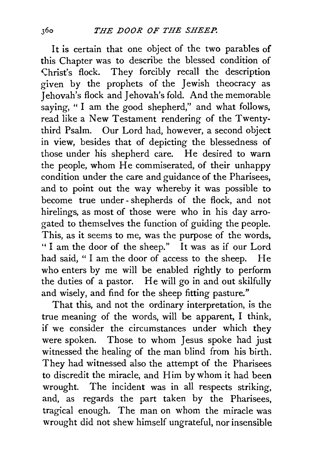It is certain that one object of the two parables of this Chapter was to describe the blessed condition of Christ's flock. They forcibly recall the description given by the prophets of the Jewish theocracy as Jehovah's flock and Jehovah's fold. And the memorable saying, "I am the good shepherd," and what follows, read like a New Testament rendering of the Twentythird Psalm. Our Lord had, however, a second object in view, besides that of depicting the blessedness of those under his shepherd care. He desired to warn the people, whom He commiserated, of their unhappy condition under the care and guidance of the Pharisees, and to point out the way whereby it was possible to become true under- shepherds of the flock, and not hirelings, as most of those were who in his day arrogated to themselves the function of guiding the people. This, as it seems to me, was the purpose of the words, " I am the door of the sheep." It was as if our Lord had said, " I am the door of access to the sheep. He who enters by me will be enabled rightly to perform the duties of a pastor. He will go in and out skilfully and wisely, and find for the sheep fitting pasture."

That this, and not the ordinary interpretation, is the true meaning of the words, will be apparent, I think, if we consider the circumstances under which they were spoken. Those to whom Jesus spoke had just witnessed the healing of the man blind from his birth. They had witnessed also the attempt of the Pharisees to discredit the miracle, and Him by whom it had been wrought. The incident was in all respects striking, and, as regards the part taken by the Pharisees, tragical enough. The man on whom the miracle was wrought did not shew himself ungrateful, nor insensible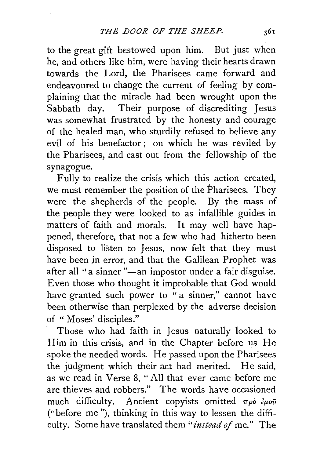to the great gift bestowed upon him. But just when he, and others like him, were having their hearts drawn towards the Lord, the Pharisees came forward and endeavoured to change the current of feeling by complaining that the miracle had been wrought upon the Sabbath day. Their purpose of discrediting Jesus was somewhat frustrated by the honesty and courage of the healed man, who sturdily refused to believe any evil of his benefactor ; on which he was reviled by the Pharisees, and cast out from the fellowship of the synagogue.

Fully to realize the crisis which this action created, we must remember the position of the Pharisees. They were the shepherds of the people. By the mass of the people they were looked to as infallible guides in matters of faith and morals. It may well have happened, therefore, that not a few who had hitherto been disposed to listen to Jesus, now felt that they must have been jn error, and that the Galilean Prophet was after all "a sinner "-an impostor under a fair disguise. Even those who thought it improbable that God would have granted such power to "a sinner," cannot have been otherwise than perplexed by the adverse decision of " Moses' disciples."

Those who had faith in Jesus naturally looked to Him in this crisis, and in the Chapter before us He. spoke the needed words. He passed upon the Pharisees the judgment which their act had merited. He said, as we read in Verse 8, "All that ever came before me are thieves and robbers." The words have occasioned much difficulty. Ancient copyists omitted  $\pi \rho \delta \partial \mu \partial \bar{\nu}$ ("before me"), thinking in this way to lessen the difficulty. Some have translated them "instead of me." The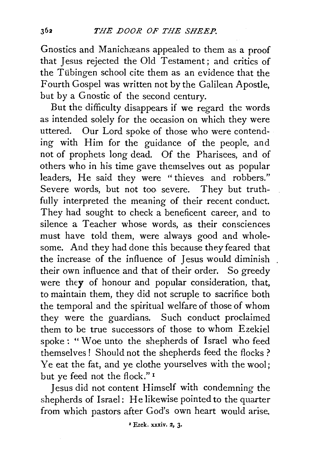Gnostics and Manichæans appealed to them as a proof that Jesus rejected the Old Testament; and critics of the Tübingen school cite them as an evidence that the Fourth Gospel was written not by the Galilean Apostle, but by a Gnostic of the second century.

But the difficulty disappears if we regard the words as intended solely for the occasion on which they were uttered. Our Lord spoke of those who were contending with Him for the guidance of the people, and not of prophets long dead. Of the Pharisees, and of others who in his time gave themselves out as popular leaders, He said they were " thieves and robbers." Severe words, but not too severe. They but truthfully interpreted the meaning of their recent conduct. They had sought to check a beneficent career, and to silence a Teacher whose words, as their consciences must have told them, were always good and wholesome. And they had done this because they feared that the increase of the influence of Jesus would diminish their own influence and that of their order. So greedy were they of honour and popular consideration, that, to maintain them, they did not scruple to sacrifice both the temporal and the spiritual welfare of those of whom they were the guardians. Such conduct proclaimed them to be true successors of those to whom Ezekiel spoke : " Woe unto the shepherds of Israel who feed themselves ! Should not the shepherds feed the flocks ? Ye eat the fat, and ye clothe yourselves with the wool; but ye feed not the flock." 1

Jesus did not content Himself with condemning the shepherds of Israel: He likewise pointed to the quarter from which pastors after God's own heart would arise.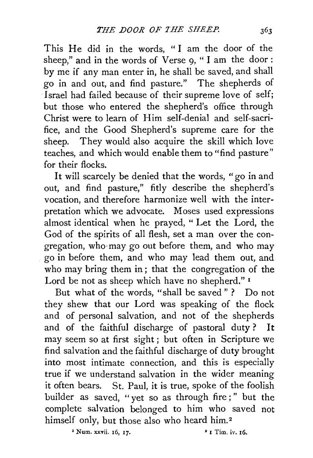This He did in the words, "I am the door of the sheep," and in the words of Verse 9, " I am the door : by me if any man enter in, he shall be saved, and shall go in and out, and find pasture." The shepherds of ·Israel had failed because of their supreme love of self; but those who entered the shepherd's office through Christ were to learn of Him self-denial and self-sacrifice, and the Good Shepherd's supreme care for the sheep. They would also acquire the skill which love teaches, and which would enable them to "find pasture" for their flocks.

It will scarcely be denied that the words, "go in and out, and find pasture," fitly describe the shepherd's vocation, and therefore harmonize well with the interpretation which we advocate. Moses used expressions almost identical when he prayed, " Let the Lord, the God of the spirits of all flesh, set a man over the congregation, who· may go out before them, and who may go in before them, and who may lead them out, and who may bring them in; that the congregation of the Lord be not as sheep which have no shepherd." I

But what of the words, "shall be saved" ? Do not they shew that our Lord was speaking of the flock and of personal salvation, and not of the shepherds and of the faithful discharge of pastoral duty? It may seem so at first sight ; but often in Scripture we find salvation and the faithful discharge of duty brought into most intimate connection, and this is especially true if we understand salvation in the wider meaning it often bears. St. Paul, it is true, spoke of the foolish builder as saved, "yet so as through fire;" but the complete salvation belonged to him who saved not himself only, but those also who heard him.<sup>2</sup>

 $\frac{1}{2}$  Num. xxvii. 16, 17. • 1 Tim. iv. 16.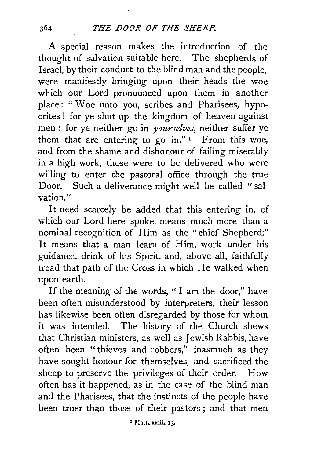A special reason makes the introduction of the thought of salvation suitable here. The shepherds of Israel, by their conduct to the blind man and the people, were manifestly bringing upon their heads the woe which our Lord pronounced upon them in another place: " Woe unto you, scribes and Pharisees, hypocrites! for ye shut up the kingdom of heaven against men : for ye neither go in *yourselves,* neither suffer ye them that are entering to go in." I From this woe, and from the shame and dishonour of failing miserably in a high work, those were to be delivered who were willing to enter the pastoral office through the true Door. Such a deliverance might well be called " salvation."

It need scarcely be added that this entering in, of which our Lord here spoke, means much more than a nominal recognition of Him as the "chief Shepherd:" It means that a man learn of Him, work under his guidance, drink of his Spirit, and, above all, faithfully tread that path of the Cross in which He walked when upon earth.

If the meaning of the words, " I am the door," have been often misunderstood by interpreters, their lesson has likewise been often disregarded by those for whom it was intended. The history of the Church shews that Christian ministers, as well as Jewish Rabbis, have often been "thieves and robbers," inasmuch as they have sought honour for themselves, and sacrificed the sheep to preserve the privileges of their order. How often has it happened, as in the case of the blind man and the Pharisees, that the instincts of the people have been truer than those of their pastors ; and that men

<sup>1</sup> Matt. xxiii. 13.